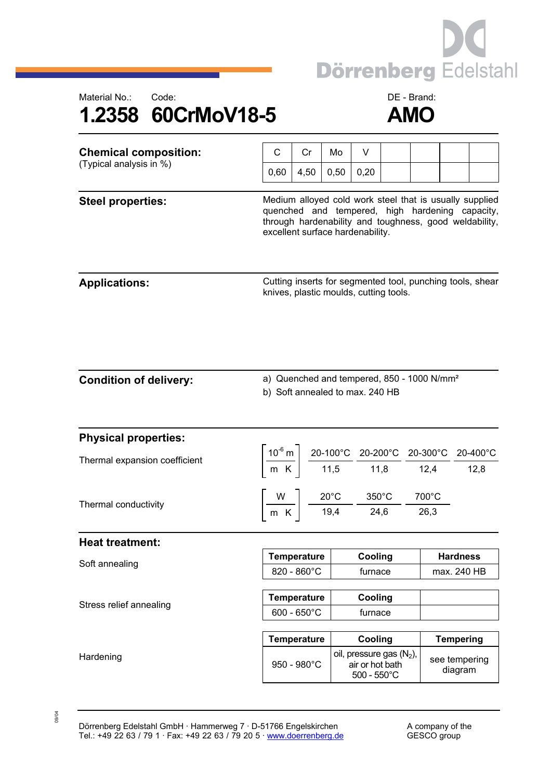





| <b>Chemical composition:</b><br>(Typical analysis in %) | C                                                                                                                                                                                                        | Cr                                                                                        | Mo   | V                                                                       |  |               |                                |  |  |
|---------------------------------------------------------|----------------------------------------------------------------------------------------------------------------------------------------------------------------------------------------------------------|-------------------------------------------------------------------------------------------|------|-------------------------------------------------------------------------|--|---------------|--------------------------------|--|--|
|                                                         | 0,60                                                                                                                                                                                                     | 4,50                                                                                      | 0,50 | 0,20                                                                    |  |               |                                |  |  |
| <b>Steel properties:</b>                                | Medium alloyed cold work steel that is usually supplied<br>quenched and tempered, high hardening capacity,<br>through hardenability and toughness, good weldability,<br>excellent surface hardenability. |                                                                                           |      |                                                                         |  |               |                                |  |  |
| <b>Applications:</b>                                    | Cutting inserts for segmented tool, punching tools, shear<br>knives, plastic moulds, cutting tools.                                                                                                      |                                                                                           |      |                                                                         |  |               |                                |  |  |
| <b>Condition of delivery:</b>                           |                                                                                                                                                                                                          | a) Quenched and tempered, 850 - 1000 N/mm <sup>2</sup><br>b) Soft annealed to max. 240 HB |      |                                                                         |  |               |                                |  |  |
| <b>Physical properties:</b>                             |                                                                                                                                                                                                          |                                                                                           |      |                                                                         |  |               |                                |  |  |
| Thermal expansion coefficient                           | $\left[\frac{10^{6} \text{ m}}{\text{m K}}\right] \frac{20-100^{\circ} \text{C}}{11,5} \frac{20-200^{\circ} \text{C}}{11,8} \frac{20-300^{\circ} \text{C}}{12,4} \frac{20-400^{\circ} \text{C}}{12,8}$   |                                                                                           |      |                                                                         |  |               |                                |  |  |
| Thermal conductivity                                    |                                                                                                                                                                                                          | $\frac{W}{m\,K}$ $\frac{20^{\circ}C}{19.4}$ $\frac{350^{\circ}C}{24.6}$                   |      |                                                                         |  | 700°C<br>26,3 |                                |  |  |
| <b>Heat treatment:</b>                                  |                                                                                                                                                                                                          |                                                                                           |      |                                                                         |  |               |                                |  |  |
| Soft annealing                                          |                                                                                                                                                                                                          | Temperature  <br>820 - 860°C                                                              |      | Cooling<br>furnace                                                      |  |               | <b>Hardness</b><br>max. 240 HB |  |  |
|                                                         |                                                                                                                                                                                                          |                                                                                           |      |                                                                         |  |               |                                |  |  |
| Stress relief annealing                                 |                                                                                                                                                                                                          | <b>Temperature</b>                                                                        |      | Cooling                                                                 |  |               |                                |  |  |
|                                                         |                                                                                                                                                                                                          | $600 - 650^{\circ}$ C                                                                     |      | furnace                                                                 |  |               |                                |  |  |
|                                                         |                                                                                                                                                                                                          | <b>Temperature</b>                                                                        |      | Cooling                                                                 |  |               | <b>Tempering</b>               |  |  |
| Hardening                                               |                                                                                                                                                                                                          | 950 - 980°C                                                                               |      | oil, pressure gas $(N_2)$ ,<br>air or hot bath<br>$500 - 550^{\circ}$ C |  |               | see tempering<br>diagram       |  |  |